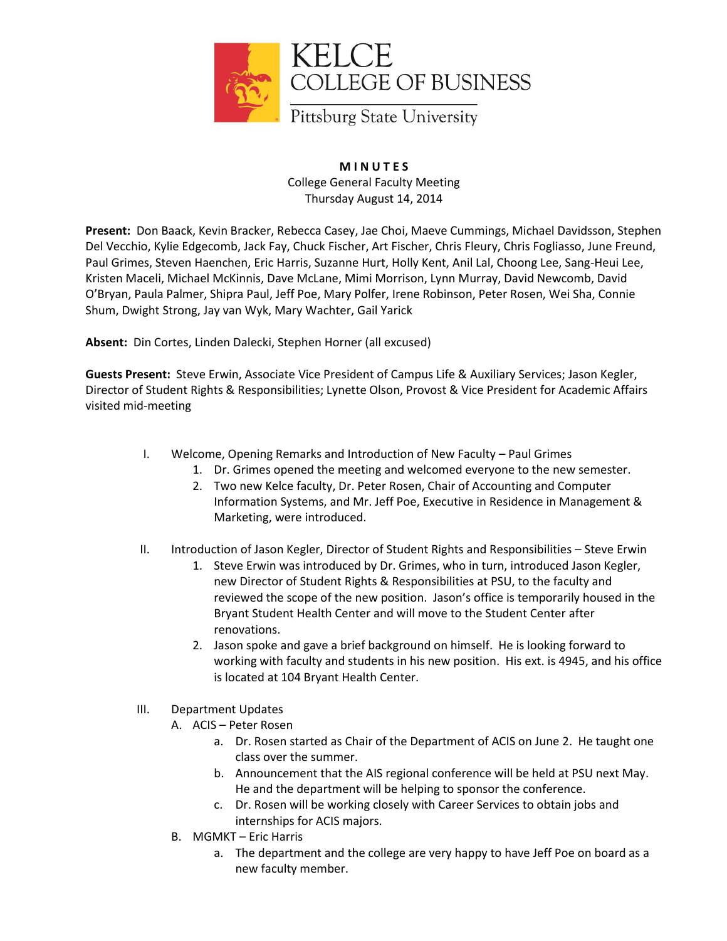

## **M I N U T E S** College General Faculty Meeting Thursday August 14, 2014

**Present:** Don Baack, Kevin Bracker, Rebecca Casey, Jae Choi, Maeve Cummings, Michael Davidsson, Stephen Del Vecchio, Kylie Edgecomb, Jack Fay, Chuck Fischer, Art Fischer, Chris Fleury, Chris Fogliasso, June Freund, Paul Grimes, Steven Haenchen, Eric Harris, Suzanne Hurt, Holly Kent, Anil Lal, Choong Lee, Sang-Heui Lee, Kristen Maceli, Michael McKinnis, Dave McLane, Mimi Morrison, Lynn Murray, David Newcomb, David O'Bryan, Paula Palmer, Shipra Paul, Jeff Poe, Mary Polfer, Irene Robinson, Peter Rosen, Wei Sha, Connie Shum, Dwight Strong, Jay van Wyk, Mary Wachter, Gail Yarick

**Absent:** Din Cortes, Linden Dalecki, Stephen Horner (all excused)

**Guests Present:** Steve Erwin, Associate Vice President of Campus Life & Auxiliary Services; Jason Kegler, Director of Student Rights & Responsibilities; Lynette Olson, Provost & Vice President for Academic Affairs visited mid-meeting

- I. Welcome, Opening Remarks and Introduction of New Faculty Paul Grimes
	- 1. Dr. Grimes opened the meeting and welcomed everyone to the new semester.
	- 2. Two new Kelce faculty, Dr. Peter Rosen, Chair of Accounting and Computer Information Systems, and Mr. Jeff Poe, Executive in Residence in Management & Marketing, were introduced.
- II. Introduction of Jason Kegler, Director of Student Rights and Responsibilities Steve Erwin
	- 1. Steve Erwin was introduced by Dr. Grimes, who in turn, introduced Jason Kegler, new Director of Student Rights & Responsibilities at PSU, to the faculty and reviewed the scope of the new position. Jason's office is temporarily housed in the Bryant Student Health Center and will move to the Student Center after renovations.
	- 2. Jason spoke and gave a brief background on himself. He is looking forward to working with faculty and students in his new position. His ext. is 4945, and his office is located at 104 Bryant Health Center.
- III. Department Updates
	- A. ACIS Peter Rosen
		- a. Dr. Rosen started as Chair of the Department of ACIS on June 2. He taught one class over the summer.
		- b. Announcement that the AIS regional conference will be held at PSU next May. He and the department will be helping to sponsor the conference.
		- c. Dr. Rosen will be working closely with Career Services to obtain jobs and internships for ACIS majors.
	- B. MGMKT Eric Harris
		- a. The department and the college are very happy to have Jeff Poe on board as a new faculty member.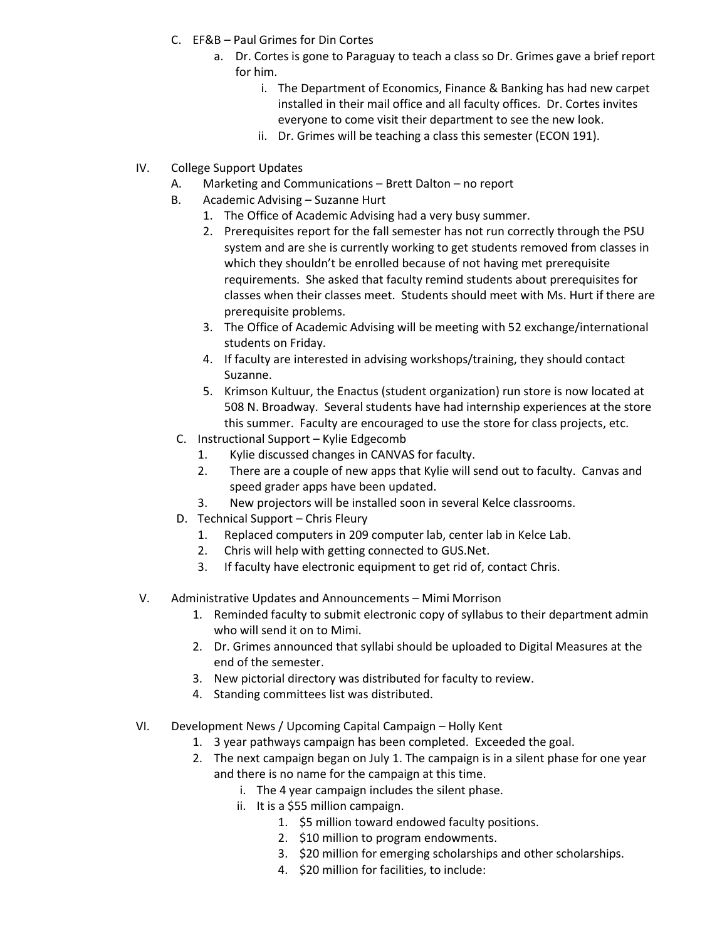- C. EF&B Paul Grimes for Din Cortes
	- a. Dr. Cortes is gone to Paraguay to teach a class so Dr. Grimes gave a brief report for him.
		- i. The Department of Economics, Finance & Banking has had new carpet installed in their mail office and all faculty offices. Dr. Cortes invites everyone to come visit their department to see the new look.
		- ii. Dr. Grimes will be teaching a class this semester (ECON 191).
- IV. College Support Updates
	- A. Marketing and Communications Brett Dalton no report
	- B. Academic Advising Suzanne Hurt
		- 1. The Office of Academic Advising had a very busy summer.
		- 2. Prerequisites report for the fall semester has not run correctly through the PSU system and are she is currently working to get students removed from classes in which they shouldn't be enrolled because of not having met prerequisite requirements. She asked that faculty remind students about prerequisites for classes when their classes meet. Students should meet with Ms. Hurt if there are prerequisite problems.
		- 3. The Office of Academic Advising will be meeting with 52 exchange/international students on Friday.
		- 4. If faculty are interested in advising workshops/training, they should contact Suzanne.
		- 5. Krimson Kultuur, the Enactus (student organization) run store is now located at 508 N. Broadway. Several students have had internship experiences at the store this summer. Faculty are encouraged to use the store for class projects, etc.
	- C. Instructional Support Kylie Edgecomb
		- 1. Kylie discussed changes in CANVAS for faculty.
		- 2. There are a couple of new apps that Kylie will send out to faculty. Canvas and speed grader apps have been updated.
		- 3. New projectors will be installed soon in several Kelce classrooms.
	- D. Technical Support Chris Fleury
		- 1. Replaced computers in 209 computer lab, center lab in Kelce Lab.
		- 2. Chris will help with getting connected to GUS.Net.
		- 3. If faculty have electronic equipment to get rid of, contact Chris.
- V. Administrative Updates and Announcements Mimi Morrison
	- 1. Reminded faculty to submit electronic copy of syllabus to their department admin who will send it on to Mimi.
	- 2. Dr. Grimes announced that syllabi should be uploaded to Digital Measures at the end of the semester.
	- 3. New pictorial directory was distributed for faculty to review.
	- 4. Standing committees list was distributed.
- VI. Development News / Upcoming Capital Campaign Holly Kent
	- 1. 3 year pathways campaign has been completed. Exceeded the goal.
	- 2. The next campaign began on July 1. The campaign is in a silent phase for one year and there is no name for the campaign at this time.
		- i. The 4 year campaign includes the silent phase.
		- ii. It is a \$55 million campaign.
			- 1. \$5 million toward endowed faculty positions.
				- 2. \$10 million to program endowments.
				- 3. \$20 million for emerging scholarships and other scholarships.
				- 4. \$20 million for facilities, to include: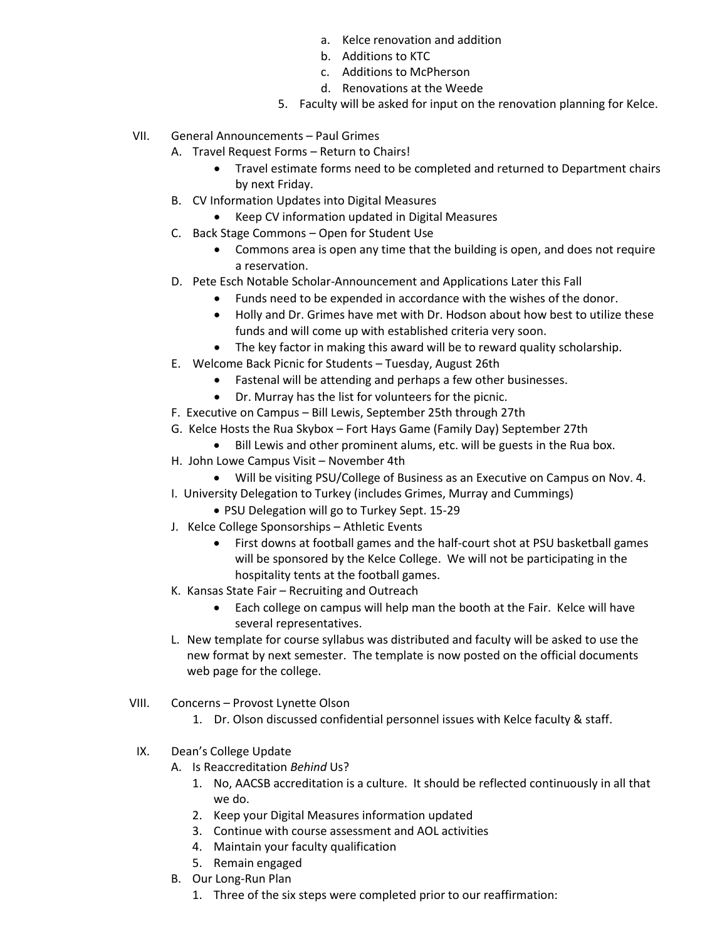- a. Kelce renovation and addition
- b. Additions to KTC
- c. Additions to McPherson
- d. Renovations at the Weede
- 5. Faculty will be asked for input on the renovation planning for Kelce.
- VII. General Announcements Paul Grimes
	- A. Travel Request Forms Return to Chairs!
		- Travel estimate forms need to be completed and returned to Department chairs by next Friday.
	- B. CV Information Updates into Digital Measures
		- Keep CV information updated in Digital Measures
	- C. Back Stage Commons Open for Student Use
		- Commons area is open any time that the building is open, and does not require a reservation.
	- D. Pete Esch Notable Scholar-Announcement and Applications Later this Fall
		- Funds need to be expended in accordance with the wishes of the donor.
		- Holly and Dr. Grimes have met with Dr. Hodson about how best to utilize these funds and will come up with established criteria very soon.
		- The key factor in making this award will be to reward quality scholarship.
	- E. Welcome Back Picnic for Students Tuesday, August 26th
		- Fastenal will be attending and perhaps a few other businesses.
		- Dr. Murray has the list for volunteers for the picnic.
	- F. Executive on Campus Bill Lewis, September 25th through 27th
	- G. Kelce Hosts the Rua Skybox Fort Hays Game (Family Day) September 27th
		- Bill Lewis and other prominent alums, etc. will be guests in the Rua box.
	- H. John Lowe Campus Visit November 4th
		- Will be visiting PSU/College of Business as an Executive on Campus on Nov. 4.
	- I. University Delegation to Turkey (includes Grimes, Murray and Cummings)
		- PSU Delegation will go to Turkey Sept. 15-29
	- J. Kelce College Sponsorships Athletic Events
		- First downs at football games and the half-court shot at PSU basketball games will be sponsored by the Kelce College. We will not be participating in the hospitality tents at the football games.
	- K. Kansas State Fair Recruiting and Outreach
		- Each college on campus will help man the booth at the Fair. Kelce will have several representatives.
	- L. New template for course syllabus was distributed and faculty will be asked to use the new format by next semester. The template is now posted on the official documents web page for the college.
- VIII. Concerns Provost Lynette Olson
	- 1. Dr. Olson discussed confidential personnel issues with Kelce faculty & staff.
- IX. Dean's College Update
	- A. Is Reaccreditation *Behind* Us?
		- 1. No, AACSB accreditation is a culture. It should be reflected continuously in all that we do.
		- 2. Keep your Digital Measures information updated
		- 3. Continue with course assessment and AOL activities
		- 4. Maintain your faculty qualification
		- 5. Remain engaged
	- B. Our Long-Run Plan
		- 1. Three of the six steps were completed prior to our reaffirmation: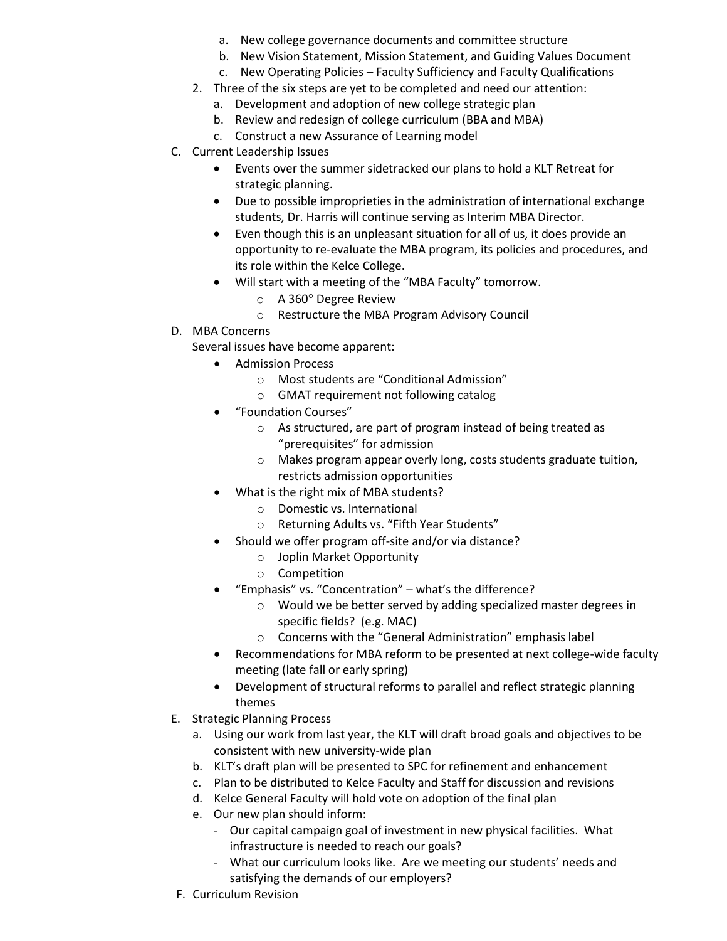- a. New college governance documents and committee structure
- b. New Vision Statement, Mission Statement, and Guiding Values Document
- c. New Operating Policies Faculty Sufficiency and Faculty Qualifications
- 2. Three of the six steps are yet to be completed and need our attention:
	- a. Development and adoption of new college strategic plan
	- b. Review and redesign of college curriculum (BBA and MBA)
	- c. Construct a new Assurance of Learning model
- C. Current Leadership Issues
	- Events over the summer sidetracked our plans to hold a KLT Retreat for strategic planning.
	- Due to possible improprieties in the administration of international exchange students, Dr. Harris will continue serving as Interim MBA Director.
	- Even though this is an unpleasant situation for all of us, it does provide an opportunity to re-evaluate the MBA program, its policies and procedures, and its role within the Kelce College.
	- Will start with a meeting of the "MBA Faculty" tomorrow.
		- $\circ$  A 360 $\circ$  Degree Review
		- o Restructure the MBA Program Advisory Council
- D. MBA Concerns

Several issues have become apparent:

- Admission Process
	- o Most students are "Conditional Admission"
	- o GMAT requirement not following catalog
- "Foundation Courses"
	- o As structured, are part of program instead of being treated as "prerequisites" for admission
	- o Makes program appear overly long, costs students graduate tuition, restricts admission opportunities
- What is the right mix of MBA students?
	- o Domestic vs. International
	- o Returning Adults vs. "Fifth Year Students"
- Should we offer program off-site and/or via distance?
	- o Joplin Market Opportunity
	- o Competition
- "Emphasis" vs. "Concentration" what's the difference?
	- o Would we be better served by adding specialized master degrees in specific fields? (e.g. MAC)
	- o Concerns with the "General Administration" emphasis label
- Recommendations for MBA reform to be presented at next college-wide faculty meeting (late fall or early spring)
- Development of structural reforms to parallel and reflect strategic planning themes
- E. Strategic Planning Process
	- a. Using our work from last year, the KLT will draft broad goals and objectives to be consistent with new university-wide plan
	- b. KLT's draft plan will be presented to SPC for refinement and enhancement
	- c. Plan to be distributed to Kelce Faculty and Staff for discussion and revisions
	- d. Kelce General Faculty will hold vote on adoption of the final plan
	- e. Our new plan should inform:
		- Our capital campaign goal of investment in new physical facilities. What infrastructure is needed to reach our goals?
		- What our curriculum looks like. Are we meeting our students' needs and satisfying the demands of our employers?
- F. Curriculum Revision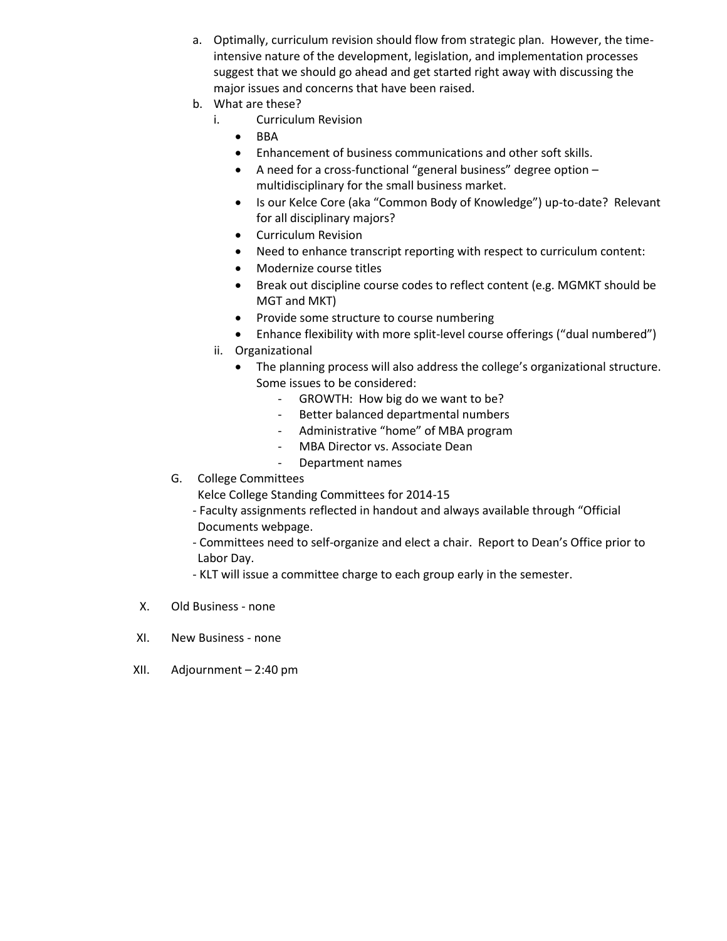- a. Optimally, curriculum revision should flow from strategic plan. However, the timeintensive nature of the development, legislation, and implementation processes suggest that we should go ahead and get started right away with discussing the major issues and concerns that have been raised.
- b. What are these?
	- i. Curriculum Revision
		- $\bullet$  BBA
		- Enhancement of business communications and other soft skills.
		- A need for a cross-functional "general business" degree option multidisciplinary for the small business market.
		- Is our Kelce Core (aka "Common Body of Knowledge") up-to-date? Relevant for all disciplinary majors?
		- Curriculum Revision
		- Need to enhance transcript reporting with respect to curriculum content:
		- Modernize course titles
		- Break out discipline course codes to reflect content (e.g. MGMKT should be MGT and MKT)
		- Provide some structure to course numbering
		- Enhance flexibility with more split-level course offerings ("dual numbered")
	- ii. Organizational
		- The planning process will also address the college's organizational structure. Some issues to be considered:
			- GROWTH: How big do we want to be?
			- Better balanced departmental numbers
			- Administrative "home" of MBA program
			- MBA Director vs. Associate Dean
			- Department names
- G. College Committees

Kelce College Standing Committees for 2014-15

- Faculty assignments reflected in handout and always available through "Official Documents webpage.
- Committees need to self-organize and elect a chair. Report to Dean's Office prior to Labor Day.
- KLT will issue a committee charge to each group early in the semester.
- X. Old Business none
- XI. New Business none
- XII. Adjournment 2:40 pm